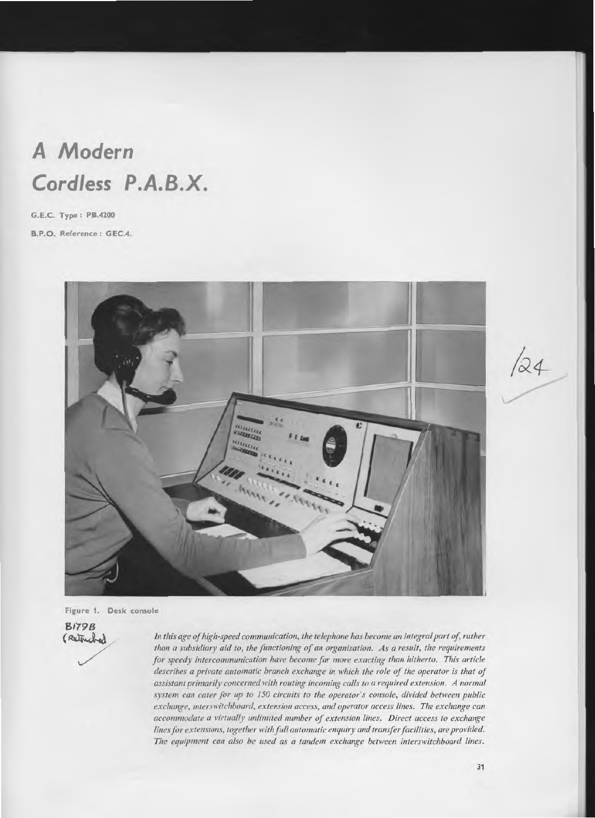# **A Modern Cordless P.A.B.X.**

**G.E.C. Type : PB.4200** 

**B.P.O. Reference: GEC.4.** 



**Figure 1. Desk console** 

*81798*  %..77

*In this age of high-speed communication, the telephone has become an integral part of, rather than a subsidiary aid to, the functioning of an organisation. As a result, the requirements for speedy intercommunication have become far more exacting than hitherto. This article describes a private automatic branch exchange in which the role of the operator is that of assistant primarily concerned with routing incoming calls to a required extension. A normal system can cater for up to 150 circuits to the operator's console, divided between public exchange, interswitchboard, extension access, and operator access lines. The exchange can accommodate a virtually unlimited number of extension lines. Direct access to exchange lines for extensions, together with full automatic enquiry and transfer facilities, are provided. The equipment can also be used as a tandem exchange between interswitchboard lines.* 

 $/24$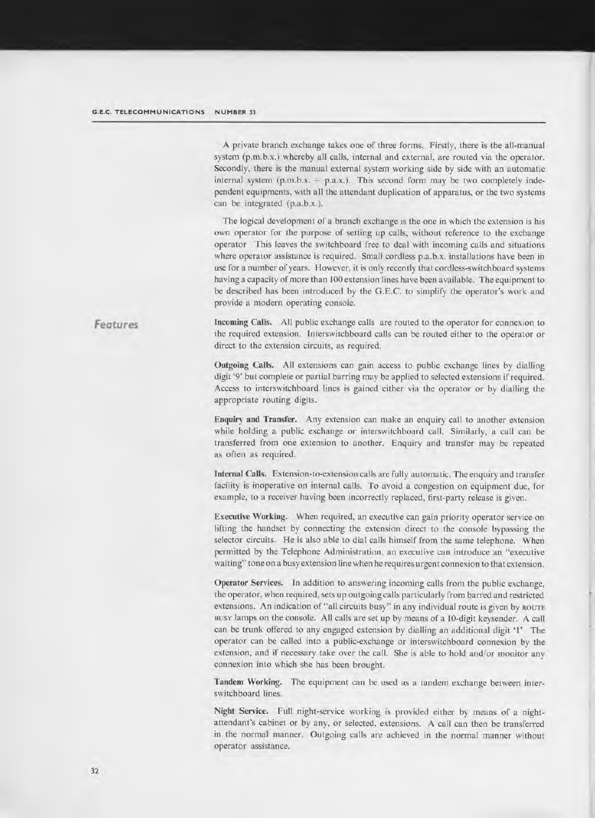A private branch exchange takes one of three forms. Firstly, there is the all-manual system (p.m.b.x.) whereby all calls, internal and external, are routed via the operator. Secondly, there is the manual external system working side by side with an automatic internal system  $(p,m,b.x. + p.a.x.)$ . This second form may be two completely independent equipments, with all the attendant duplication of apparatus, or the two systems can be integrated (p.a.b.x.).

The logical development of a branch exchange is the one in which the extension is his own operator for the purpose of setting up calls, without reference to the exchange operator This leaves the switchboard free to deal with incoming calls and situations where operator assistance is required. Small cordless p.a.b.x. installations have been in use for a number of years. However, it is only recently that cordless-switchboard systems having a capacity of more than 100 extension lines have been available. The equipment to be described has been introduced by the G.E.C. to simplify the operator's work and provide a modern operating console.

**Incoming Calls.** All public exchange calls are routed to the operator for connexion to the required extension. Interswitchboard calls can be routed either to the operator or direct to the extension circuits, as required.

**Outgoing Calls.** All extensions can gain access to public exchange lines by dialling digit '9' but complete or partial barring may be applied to selected extensions if required. Access to interswitchboard lines is gained either via the operator or by dialling the appropriate routing digits.

**Enquiry and Transfer.** Any extension can make an enquiry call to another extension while holding a public exchange or interswitchboard call. Similarly, a call can be transferred from one extension to another. Enquiry and transfer may be repeated as often as required.

**Internal Calls.** Extension-to-extension calls are fully automatic. The enquiry and transfer facility is inoperative on internal calls. To avoid a congestion on equipment due, for example, to a receiver having been incorrectly replaced, first-party release is given.

**Executive Working.** When required, an executive can gain priority operator service on lifting the handset by connecting the extension direct to the console bypassing the selector circuits. He is also able to dial calls himself from the same telephone. When permitted by the Telephone Administration, an executive can introduce an "executive waiting" tone on a busy extension line when he requires urgent connexion to that extension.

**Operator Services.** In addition to answering incoming calls from the public exchange, the operator, when required, sets up outgoing calls particularly from barred and restricted extensions. An indication of "all circuits busy" in any individual route is given by **ROUTE BUSY** lamps on the console. All calls are set up by means of a 10-digit keysender. A call can be trunk offered to any engaged extension by dialling an additional digit '1' The operator can be called into a public-exchange or interswitchboard connexion by the extension, and if necessary take over the call. She is able to hold and/or monitor any connexion into which she has been brought.

**Tandem Working.** The equipment can be used as a tandem exchange between interswitchboard lines.

**Night Service.** Full night-service working is provided either by means of a nightattendant's cabinet or by any, or selected, extensions. A call can then be transferred in the normal manner. Outgoing calls are achieved in the normal manner without operator assistance.

*Features*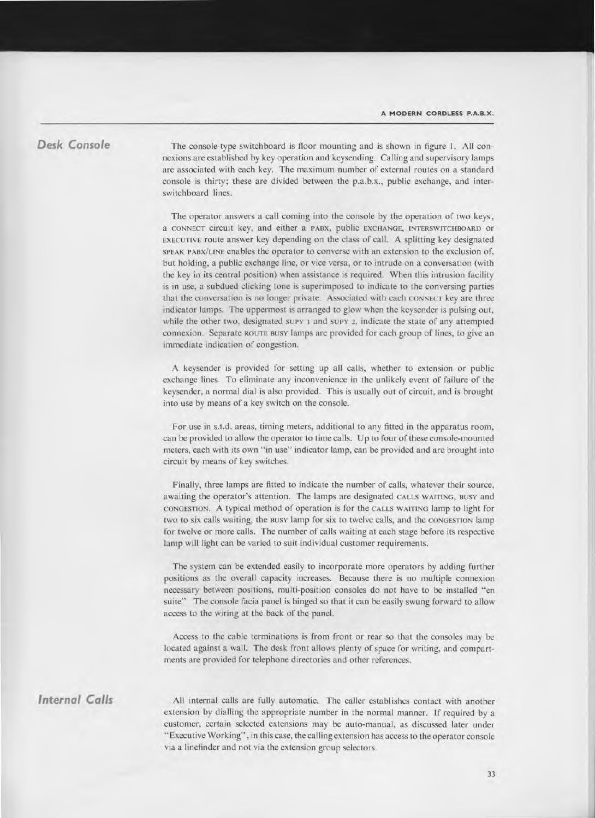#### **Desk Console**

The console-type switchboard is floor mounting and is shown in figure 1. All connexions are established by key operation and keysending. Calling and supervisory lamps are associated with each key. The maximum number of external routes on a standard console is thirty; these are divided between the p.a.b.x., public exchange, and interswitchboard lines.

The operator answers a call coming into the console by the operation of two keys, a **CONNECT** circuit key, and either a **PABX,** public **EXCHANGE, INTERSWITCHBOARD** or **EXECUTIVE** route answer key depending on the class of call. A splitting key designated **SPEAK PABX/LINE** enables the operator to converse with an extension to the exclusion of, but holding, a public exchange line, or vice versa, or to intrude on a conversation (with the key in its central position) when assistance is required. When this intrusion facility is in use, a subdued clicking tone is superimposed to indicate to the conversing parties that the conversation is no longer private. Associated with each **CONNECT** key are three indicator lamps. The uppermost is arranged to glow when the keysender is pulsing out, while the other two, designated **SUPY** 1 and **SUPY** 2, indicate the state of any attempted connexion. Separate **ROUTE BUSY** lamps are provided for each group of lines, to give an immediate indication of congestion.

A keysender is provided for setting up all calls, whether to extension or public exchange lines. To eliminate any inconvenience in the unlikely event of failure of the keysender, a normal dial is also provided. This is usually out of circuit, and is brought into use by means of a key switch on the console.

For use in s.t.d. areas, timing meters, additional to any fitted in the apparatus room, can be provided to allow the operator to time calls. Up to four of these console-mounted meters, each with its own "in use" indicator lamp, can be provided and are brought into circuit by means of key switches.

Finally, three lamps are fitted to indicate the number of calls, whatever their source, awaiting the operator's attention. The lamps are designated **CALLS WAITING, BUSY** and **CONGESTION.** A typical method of operation is for the **CALLS WAITING** lamp to light for two to six calls waiting, the **BUSY** lamp for six to twelve calls, and the **CONGESTION** lamp for twelve or more calls. The number of calls waiting at each stage before its respective lamp will light can be varied to suit individual customer requirements.

The system can be extended easily to incorporate more operators by adding further positions as the overall capacity increases. Because there is no multiple connexion necessary between positions, multi-position consoles do not have to *be* installed "en suite" The console facia panel is hinged so that it can be easily swung forward to allow access to the wiring at the back of the panel.

Access to the cable terminations is from front or rear so that the consoles may be located against a wall. The desk front allows plenty of space for writing, and compartments are provided for telephone directories and other references.

### **Internal Calls**

All internal calls are fully automatic. The caller establishes contact with another extension by dialling the appropriate number in the normal manner. If required by a customer, certain selected extensions may be auto-manual, as discussed later under "Executive Working", in this case, the calling extension has access to the operator console via a linefinder and not via the extension group selectors.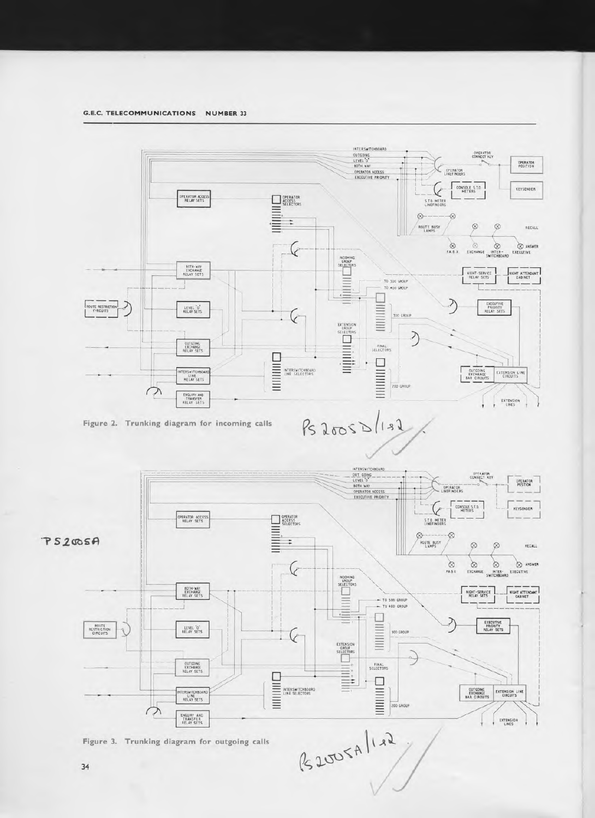



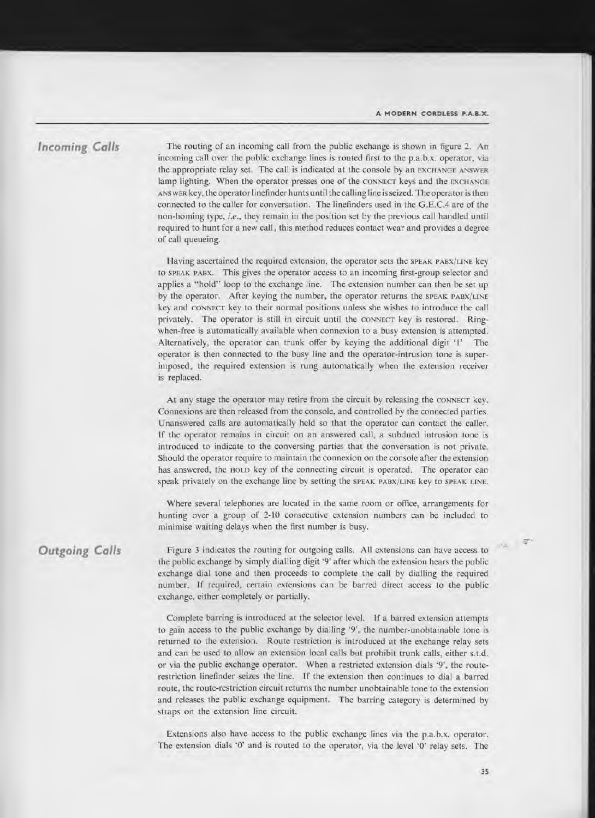#### **Incoming Calls**

The routing of an incoming call from the public exchange is shown in figure 2. An incoming call over the public exchange lines is routed first to the p.a.b.x. operator, via the appropriate relay set. The call is indicated at the console by an **EXCHANGE ANSWER**  lamp lighting. When the operator presses one of the **CONNECT** keys and the **EXCHANGE ANS wER** key, the operator linefinder hunts until the calling line is seized. The operator is then connected to the caller for conversation. The linefinders used in the G.E.C.4 are of the non-homing type, *i.e.,* they remain in the position set by the previous call handled until required to hunt for a new call, this method reduces contact wear and provides a degree of call queueing.

Having ascertained the required extension, the operator sets the **SPEAK PABX/LINE** key to **SPEAK PABX.** This gives the operator access to an incoming first-group selector and applies a "hold" loop to the exchange line. The extension number can then be set up by the operator. After keying the number, the operator returns the **SPEAK PABX/LINE**  key and **CONNECT** key to their normal positions unless she wishes to introduce the call privately. The operator is still in circuit until the **CONNECT** key is restored. Ringwhen-free is automatically available when connexion to a busy extension is attempted. Alternatively, the operator can trunk offer by keying the additional digit '1' The operator is then connected to the busy line and the operator-intrusion tone is superimposed, the required extension is rung automatically when the extension receiver is replaced.

At any stage the operator may retire from the circuit by releasing the **CONNECT** key. Connexions are then released from the console, and controlled by the connected parties. Unanswered calls are automatically held so that the operator can contact the caller. If the operator remains in circuit on an answered call, a subdued intrusion tone is introduced to indicate to the conversing parties that the conversation is not private. Should the operator require to maintain the connexion on the console after the extension has answered, the HOLD key of the connecting circuit is operated. The operator can speak privately on the exchange line by setting the **SPEAK PABX/LINE** key to **SPEAK LINE.** 

Where several telephones are located in the same room or office, arrangements for hunting over a group of 2-10 consecutive extension numbers can be included to minimise waiting delays when the first number is busy.

## **Outgoing Calls**

Figure 3 indicates the routing for outgoing calls. All extensions can have access to the public exchange by simply dialling digit '9' after which the extension hears the public exchange dial tone and then proceeds to complete the call by dialling the required number. If required, certain extensions can be barred direct access to the public exchange, either completely or partially.

Complete barring is introduced at the selector level. If a barred extension attempts to gain access to the public exchange by dialling '9', the number-unobtainable tone is returned to the extension. Route restriction is introduced at the exchange relay sets and can be used to allow an extension local calls but prohibit trunk calls, either s.t.d. or via the public exchange operator. When a restricted extension dials '9', the routerestriction linefinder seizes the line. If the extension then continues to dial a barred route, the route-restriction circuit returns the number unobtainable tone to the extension and releases the public exchange equipment. The barring category is determined by straps on the extension line circuit.

Extensions also have access to the public exchange lines via the p.a.b.x. operator. The extension dials '0' and is routed to the operator, via the level '0' relay sets. The

12 年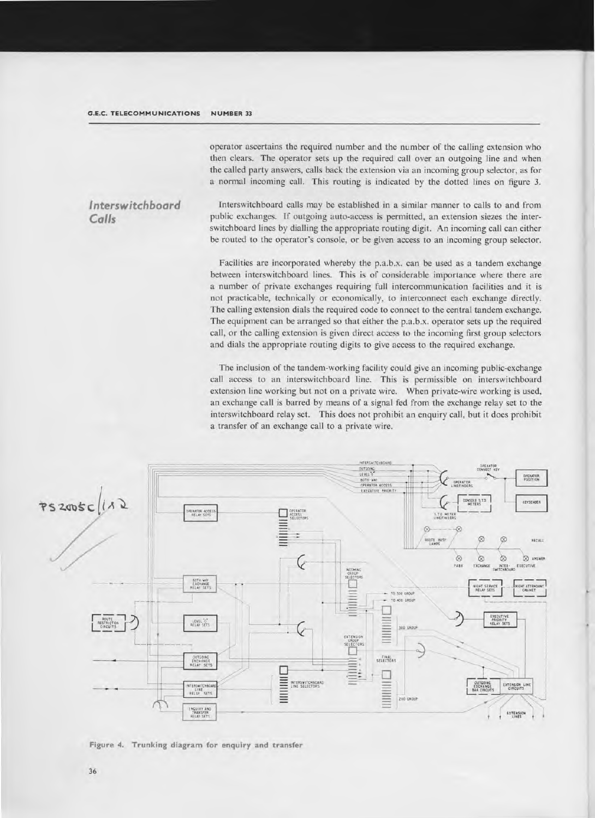operator ascertains the required number and the number of the calling extension who then clears. The operator sets up the required call over an outgoing line and when the called party answers, calls back the extension via an incoming group selector, as for a normal incoming call. This routing is indicated by the dotted lines on figure 3.

#### Interswitchboard  $Calls$

Interswitchboard calls may be established in a similar manner to calls to and from public exchanges. If outgoing auto-access is permitted, an extension siezes the interswitchboard lines by dialling the appropriate routing digit. An incoming call can either be routed to the operator's console, or be given access to an incoming group selector.

Facilities are incorporated whereby the p.a.b.x. can be used as a tandem exchange between interswitchboard lines. This is of considerable importance where there are a number of private exchanges requiring full intercommunication facilities and it is not practicable, technically or economically, to interconnect each exchange directly. The calling extension dials the required code to connect to the central tandem exchange. The equipment can be arranged so that either the p.a.b.x. operator sets up the required call, or the calling extension is given direct access to the incoming first group selectors and dials the appropriate routing digits to give access to the required exchange.

The inclusion of the tandem-working facility could give an incoming public-exchange call access to an interswitchboard line. This is permissible on interswitchboard extension line working but not on a private wire. When private-wire working is used, an exchange call is barred by means of a signal fed from the exchange relay set to the interswitchboard relay set. This does not prohibit an enquiry call, but it does prohibit a transfer of an exchange call to a private wire.



Figure 4. Trunking diagram for enquiry and transfer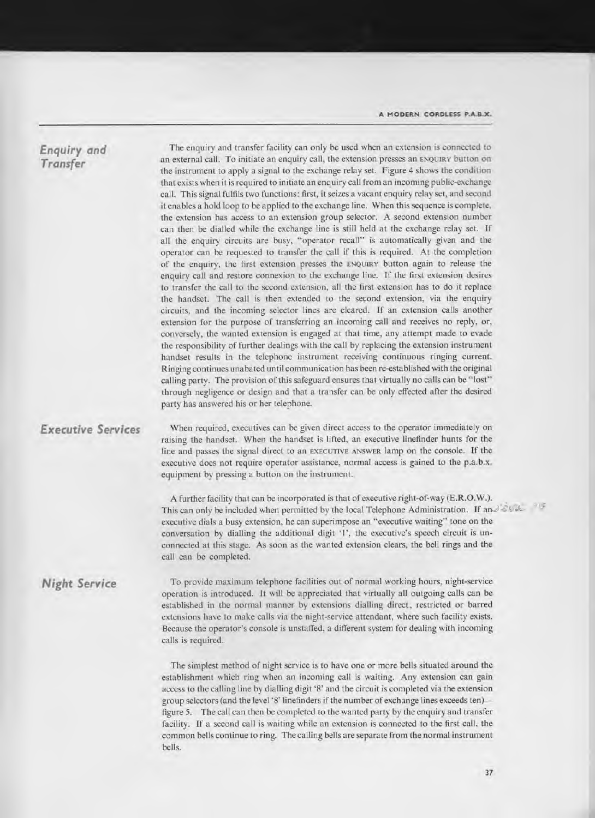### **Enquiry and Transfer**

The enquiry and transfer facility can only be used when an extension is connected to an external call. To initiate an enquiry call, the extension presses an **ENQUIRY** button on the instrument to apply a signal to the exchange relay set. Figure 4 shows the condition that exists when it is required to initiate an enquiry call from an incoming public-exchange call. This signal fulfils two functions: first, it seizes a vacant enquiry relay set, and second it enables a hold loop to be applied to the exchange line. When this sequence is complete, the extension has access to an extension group selector. A second extension number can then be dialled while the exchange line is still held at the exchange relay set. If all the enquiry circuits are busy, "operator recall" is automatically given and the operator can be requested to transfer the call if this is required. At the completion of the enquiry, the first extension presses the **ENQUIRY** button again to release the enquiry call and restore connexion to the exchange line. If the first extension desires to transfer the call to the second extension, all the first extension has to do it replace the handset. The call is then extended to the second extension, via the enquiry circuits, and the incoming selector lines are cleared. If an extension calls another extension for the purpose of transferring an incoming call and receives no reply, or, conversely, the wanted extension is engaged at that time, any attempt made to evade the responsibility of further dealings with the call by replacing the extension instrument handset results in the telephone instrument receiving continuous ringing current. Ringing continues unabated until communication has been re-established with the original calling party. The provision of this safeguard ensures that virtually no calls can be "lost" through negligence or design and that a transfer can be only effected after the desired party has answered his or her telephone.

### **Executive Services**

When required, executives can be given direct access to the operator immediately on raising the handset. When the handset is lifted, an executive linefinder hunts for the line and passes the signal direct to an **EXECUTIVE ANSWER** lamp on the console. If the executive does not require operator assistance, normal access is gained to the p.a.b.x. equipment by pressing a button on the instrument.

A further facility that can be incorporated is that of executive right-of-way (E.R.O.W.). This can only be included when permitted by the local Telephone Administration. If  $a_{12} \leq \omega_c$ executive dials a busy extension, he can superimpose an "executive waiting" tone on the conversation by dialling the additional digit '1', the executive's speech circuit is unconnected at this stage. As soon as the wanted extension clears, the bell rings and the call can be completed.

### **Night Service**

To provide maximum telephone facilities out of normal working hours, night-service operation is introduced. It will be appreciated that virtually all outgoing calls can be established in the normal manner by extensions dialling direct, restricted or barred extensions have to make calls via the night-service attendant, where such facility exists. Because the operator's console is unstaffed, a different system for dealing with incoming calls is required.

The simplest method of night service is to have one or more bells situated around the establishment which ring when an incoming call is waiting. Any extension can gain access to the calling line by dialling digit '8' and the circuit is completed via the extension group selectors (and the level '8' linefinders if the number of exchange lines exceeds ten) figure 5. The call can then be completed to the wanted party by the enquiry and transfer facility. If a second call is waiting while an extension is connected to the first call, the common bells continue to ring. The calling bells are separate from the normal instrument bells.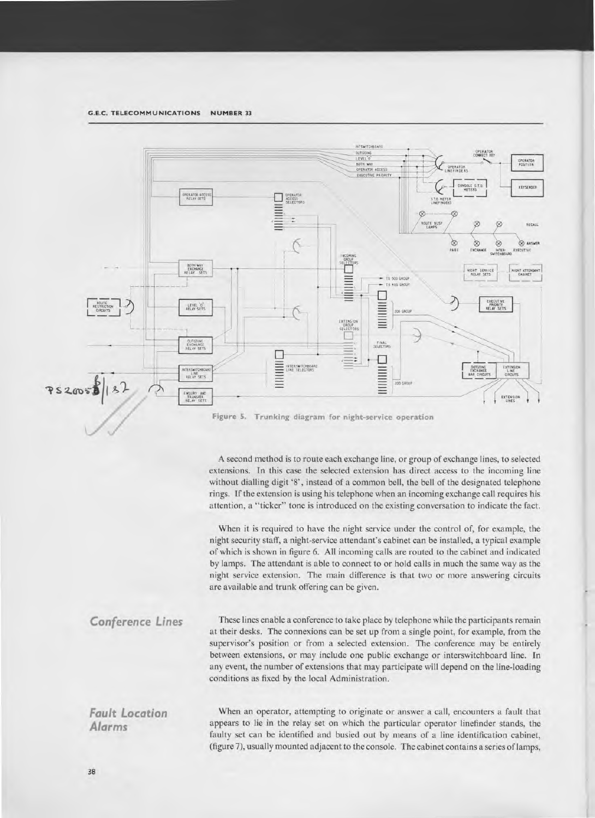

**Figure 5. Trunking diagram for night-service operation** 

A second method is to route each exchange line, or group of exchange lines, to selected extensions. In this case the selected extension has direct access to the incoming line without dialling digit '8', instead of a common bell, the bell of the designated telephone rings. If the extension is using his telephone when an incoming exchange call requires his attention, a "ticker" tone is introduced on the existing conversation to indicate the fact.

When it is required to have the night service under the control of, for example, the night security staff, a night-service attendant's cabinet can be installed, a typical example of which is shown in figure 6. All incoming calls are routed to the cabinet and indicated by lamps. The attendant is able to connect to or hold calls in much the same way as the night service extension. The main difference is that two or more answering circuits are available and trunk offering can be given.

These lines enable a conference to take place by telephone while the participants remain at their desks. The connexions can be set up from a single point, for example, from the supervisor's position or from a selected extension. The conference may be entirely between extensions, or may include one public exchange or interswitchboard line. In any event, the number of extensions that may participate will depend on the line-loading conditions as fixed by the local Administration. *Conference Lines* 

*Fault Location Alarms* 

When an operator, attempting to originate or answer a call, encounters a fault that appears to lie in the relay set on which the particular operator linefinder stands, the faulty set can be identified and busied out by means of a line identification cabinet, (figure 7), usually mounted adjacent to the console. The cabinet contains a series of lamps,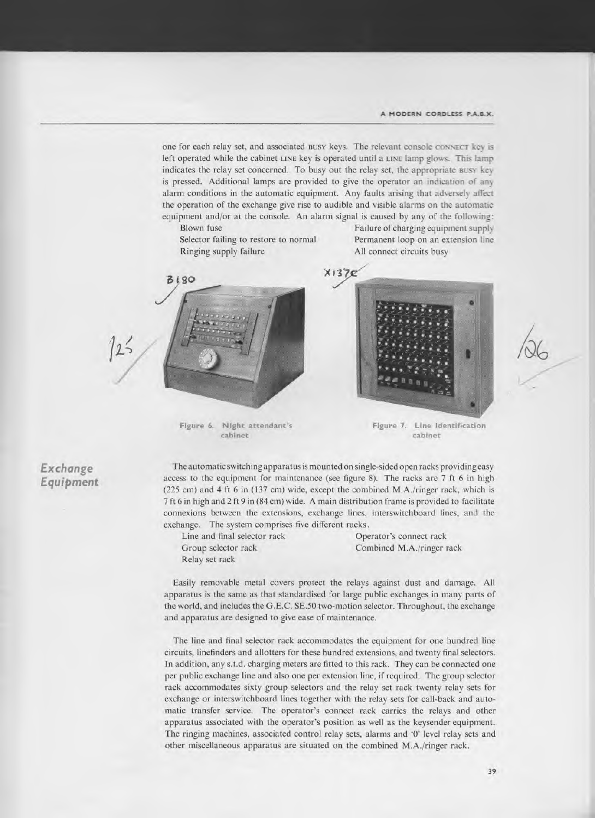one for each relay set, and associated **BUSY** keys. The relevant console **CONNECT** key is left operated while the cabinet **LINE** key is operated until a **LINE** lamp glows. This lamp indicates the relay set concerned. To busy out the relay set, the appropriate **BUSY** key is pressed. Additional lamps are provided to give the operator an indication of any alarm conditions in the automatic equipment. Any faults arising that adversely affect the operation of the exchange give rise to audible and visible alarms on the automatic equipment and/or at the console. An alarm signal is caused by any of the following:

Ringing supply failure All connect circuits busy

Blown fuse Failure of charging equipment supply Selector failing to restore to normal Permanent loop on an extension line



cabinet cabinet



Figure 6. Night attendant's Figure 7. Line identification

The automatic switching apparatus is mounted on single-sided open racks providing easy access to the equipment for maintenance (see figure 8). The racks are 7 ft 6 in high (225 cm) and 4 ft 6 in (137 cm) wide, except the combined M.A./ringer rack, which is 7 ft 6 in high and 2 ft 9 in (84 cm) wide. A main distribution frame is provided to facilitate connexions between the extensions, exchange lines, interswitchboard lines, and the exchange. The system comprises five different racks.

Line and final selector rack Operator's connect rack Relay set rack

Group selector rack Combined M.A./ringer rack

Easily removable metal covers protect the relays against dust and damage. All apparatus is the same as that standardised for large public exchanges in many parts of the world, and includes the G.E.C. SE.50 two-motion selector. Throughout, the exchange and apparatus are designed to give ease of maintenance.

The line and final selector rack accommodates the equipment for one hundred line circuits, linefinders and allotters for these hundred extensions, and twenty final selectors. In addition, any s.t.d. charging meters are fitted to this rack. They can be connected one per public exchange line and also one per extension line, if required. The group selector rack accommodates sixty group selectors and the relay set rack twenty relay sets for exchange or interswitchboard lines together with the relay sets for call-back and automatic transfer service. The operator's connect rack carries the relays and other apparatus associated with the operator's position as well as the keysender equipment. The ringing machines, associated control relay sets, alarms and '0' level relay sets and other miscellaneous apparatus are situated on the combined M.A./ringer rack.

#### **Exchange Equipment**

 $125$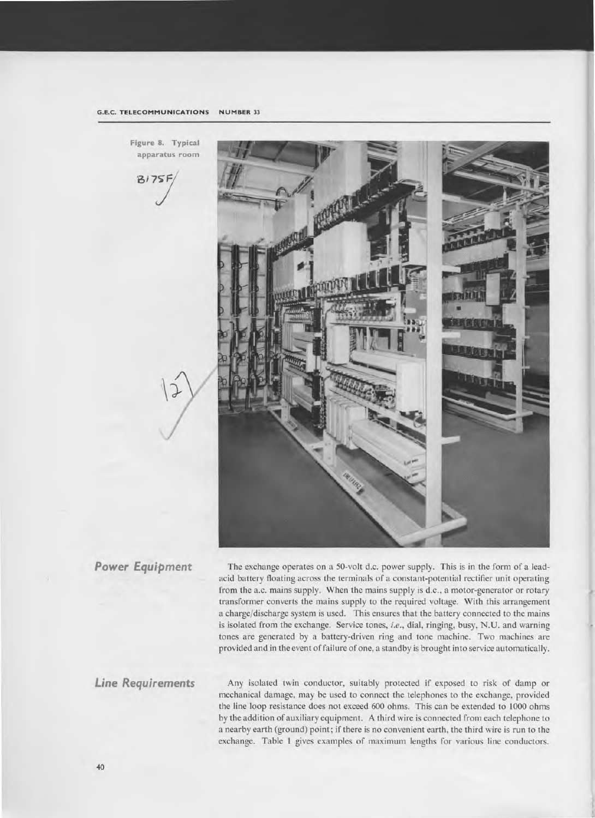

Power Equipment The exchange operates on a 50-volt d.c. power supply. This is in the form of a leadacid battery floating across the terminals of a constant-potential rectifier unit operating from the a.c. mains supply. When the mains supply is d.c., a motor-generator or rotary transformer converts the mains supply to the required voltage. With this arrangement a charge/discharge system is used. This ensures that the battery connected to the mains is isolated from the exchange. Service tones, *i.e.,* dial, ringing, busy, N.U. and warning tones are generated by a battery-driven ring and tone machine. Two machines are provided and in the event of failure of one, a standby is brought into service automatically.

**Line Requirements** Any isolated twin conductor, suitably protected if exposed to risk of damp or mechanical damage, may be used to connect the telephones to the exchange, provided the line loop resistance does not exceed 600 ohms. This can be extended to 1000 ohms by the addition of auxiliary equipment. A third wire is connected from each telephone to a nearby earth (ground) point; if there is no convenient earth, the third wire is run to the exchange. Table 1 gives examples of maximum lengths for various line conductors.